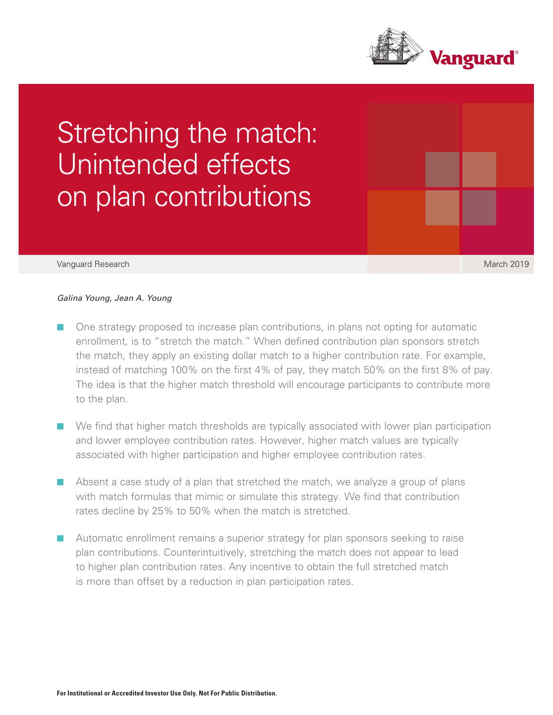

# Stretching the match: Unintended effects on plan contributions

#### Vanguard Research March 2019

# *Galina Young, Jean A. Young*

- One strategy proposed to increase plan contributions, in plans not opting for automatic enrollment, is to "stretch the match." When defined contribution plan sponsors stretch the match, they apply an existing dollar match to a higher contribution rate. For example, instead of matching 100% on the first 4% of pay, they match 50% on the first 8% of pay. The idea is that the higher match threshold will encourage participants to contribute more to the plan.
- We find that higher match thresholds are typically associated with lower plan participation and lower employee contribution rates. However, higher match values are typically associated with higher participation and higher employee contribution rates.
- Absent a case study of a plan that stretched the match, we analyze a group of plans with match formulas that mimic or simulate this strategy. We find that contribution rates decline by 25% to 50% when the match is stretched.
- Automatic enrollment remains a superior strategy for plan sponsors seeking to raise plan contributions. Counterintuitively, stretching the match does not appear to lead to higher plan contribution rates. Any incentive to obtain the full stretched match is more than offset by a reduction in plan participation rates.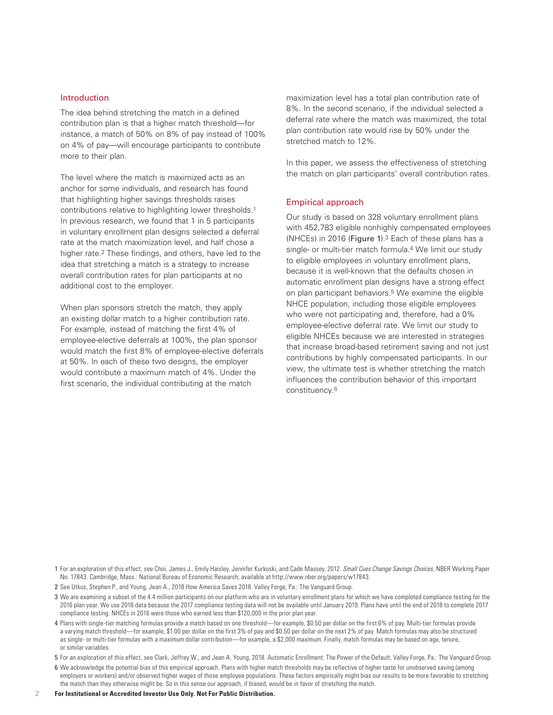# Introduction

The idea behind stretching the match in a defined contribution plan is that a higher match threshold—for instance, a match of 50% on 8% of pay instead of 100% on 4% of pay—will encourage participants to contribute more to their plan.

The level where the match is maximized acts as an anchor for some individuals, and research has found that highlighting higher savings thresholds raises contributions relative to highlighting lower thresholds.1 In previous research, we found that 1 in 5 participants in voluntary enrollment plan designs selected a deferral rate at the match maximization level, and half chose a higher rate.2 These findings, and others, have led to the idea that stretching a match is a strategy to increase overall contribution rates for plan participants at no additional cost to the employer.

When plan sponsors stretch the match, they apply an existing dollar match to a higher contribution rate. For example, instead of matching the first 4% of employee-elective deferrals at 100%, the plan sponsor would match the first 8% of employee-elective deferrals at 50%. In each of these two designs, the employer would contribute a maximum match of 4%. Under the first scenario, the individual contributing at the match

maximization level has a total plan contribution rate of 8%. In the second scenario, if the individual selected a deferral rate where the match was maximized, the total plan contribution rate would rise by 50% under the stretched match to 12%.

In this paper, we assess the effectiveness of stretching the match on plan participants' overall contribution rates.

#### Empirical approach

Our study is based on 328 voluntary enrollment plans with 452,783 eligible nonhighly compensated employees (NHCEs) in 2016 (Figure 1).3 Each of these plans has a single- or multi-tier match formula.4 We limit our study to eligible employees in voluntary enrollment plans, because it is well-known that the defaults chosen in automatic enrollment plan designs have a strong effect on plan participant behaviors.5 We examine the eligible NHCE population, including those eligible employees who were not participating and, therefore, had a 0% employee-elective deferral rate. We limit our study to eligible NHCEs because we are interested in strategies that increase broad-based retirement saving and not just contributions by highly compensated participants. In our view, the ultimate test is whether stretching the match influences the contribution behavior of this important constituency.6

2 See Utkus, Stephen P., and Young, Jean A., 2018 How America Saves 2018. Valley Forge, Pa.: The Vanguard Group.

- 3 We are examining a subset of the 4.4 million participants on our platform who are in voluntary enrollment plans for which we have completed compliance testing for the 2016 plan year. We use 2016 data because the 2017 compliance testing data will not be available until January 2019. Plans have until the end of 2018 to complete 2017 compliance testing. NHCEs in 2016 were those who earned less than \$120,000 in the prior plan year.
- 4 Plans with single-tier matching formulas provide a match based on one threshold—for example, \$0.50 per dollar on the first 6% of pay. Multi-tier formulas provide a varying match threshold—for example, \$1.00 per dollar on the first 3% of pay and \$0.50 per dollar on the next 2% of pay. Match formulas may also be structured as single- or multi-tier formulas with a maximum dollar contribution—for example, a \$2,000 maximum. Finally, match formulas may be based on age, tenure, or similar variables.
- 5 For an exploration of this effect, see Clark, Jeffrey W., and Jean A. Young, 2018. Automatic Enrollment: The Power of the Default, Valley Forge, Pa.: The Vanguard Group.

6 We acknowledge the potential bias of this empirical approach. Plans with higher match thresholds may be reflective of higher taste for unobserved saving (among employers or workers) and/or observed higher wages of those employee populations. These factors empirically might bias our results to be more favorable to stretching the match than they otherwise might be. So in this sense our approach, if biased, would be in favor of stretching the match.

<sup>1</sup> For an exploration of this effect, see Choi, James J., Emily Haisley, Jennifer Kurkoski, and Cade Massey, 2012. *Small Cues Change Savings Choices*, NBER Working Paper No. 17843. Cambridge, Mass.: National Bureau of Economic Research; available at http://www.nber.org/papers/w17843.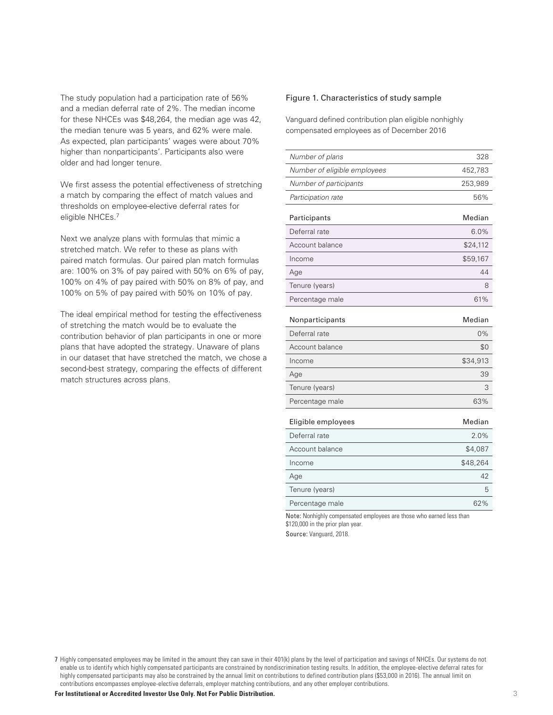The study population had a participation rate of 56% and a median deferral rate of 2%. The median income for these NHCEs was \$48,264, the median age was 42, the median tenure was 5 years, and 62% were male. As expected, plan participants' wages were about 70% higher than nonparticipants'. Participants also were older and had longer tenure.

We first assess the potential effectiveness of stretching a match by comparing the effect of match values and thresholds on employee-elective deferral rates for eligible NHCEs.7

Next we analyze plans with formulas that mimic a stretched match. We refer to these as plans with paired match formulas. Our paired plan match formulas are: 100% on 3% of pay paired with 50% on 6% of pay, 100% on 4% of pay paired with 50% on 8% of pay, and 100% on 5% of pay paired with 50% on 10% of pay.

The ideal empirical method for testing the effectiveness of stretching the match would be to evaluate the contribution behavior of plan participants in one or more plans that have adopted the strategy. Unaware of plans in our dataset that have stretched the match, we chose a second-best strategy, comparing the effects of different match structures across plans.

#### Figure 1. Characteristics of study sample

Vanguard defined contribution plan eligible nonhighly compensated employees as of December 2016

| Number of plans              | 328      |
|------------------------------|----------|
| Number of eligible employees | 452,783  |
| Number of participants       | 253,989  |
| Participation rate           | 56%      |
| Participants                 | Median   |
| Deferral rate                | 6.0%     |
| Account balance              | \$24,112 |
| Income                       | \$59,167 |
| Age                          | 44       |
| Tenure (years)               | 8        |
| Percentage male              | 61%      |
| Nonparticipants              | Median   |
| Deferral rate                | 0%       |
| Account balance              | \$0      |
| Income                       | \$34,913 |
| Age                          | 39       |
| Tenure (years)               | 3        |
| Percentage male              | 63%      |
| Eligible employees           | Median   |
| Deferral rate                | 2.0%     |
| Account balance              | \$4,087  |
| Income                       | \$48,264 |
| Age                          | 42       |
| Tenure (years)               | 5        |
| Percentage male              | 62%      |

Note: Nonhighly compensated employees are those who earned less than \$120,000 in the prior plan year. Source: Vanguard, 2018.

**For Institutional or Accredited Investor Use Only. Not For Public Distribution.** 3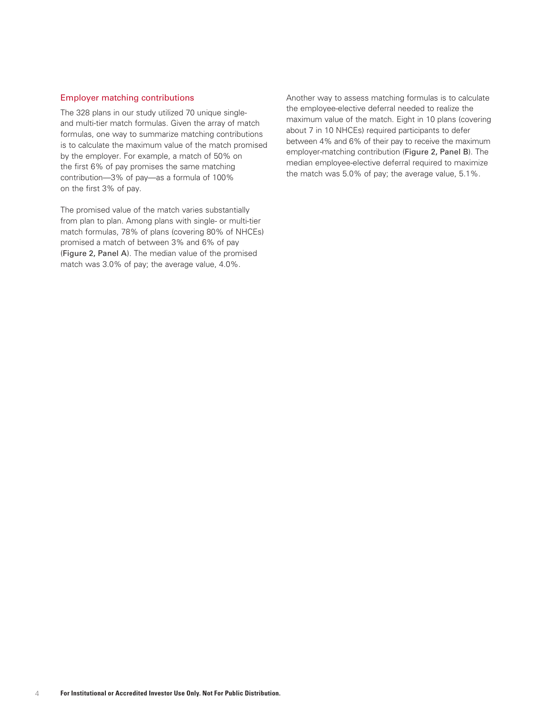#### Employer matching contributions

The 328 plans in our study utilized 70 unique singleand multi-tier match formulas. Given the array of match formulas, one way to summarize matching contributions is to calculate the maximum value of the match promised by the employer. For example, a match of 50% on the first 6% of pay promises the same matching contribution—3% of pay—as a formula of 100% on the first 3% of pay.

The promised value of the match varies substantially from plan to plan. Among plans with single- or multi-tier match formulas, 78% of plans (covering 80% of NHCEs) promised a match of between 3% and 6% of pay (Figure 2, Panel A). The median value of the promised match was 3.0% of pay; the average value, 4.0%.

Another way to assess matching formulas is to calculate the employee-elective deferral needed to realize the maximum value of the match. Eight in 10 plans (covering about 7 in 10 NHCEs) required participants to defer between 4% and 6% of their pay to receive the maximum employer-matching contribution (Figure 2, Panel B). The median employee-elective deferral required to maximize the match was 5.0% of pay; the average value, 5.1%.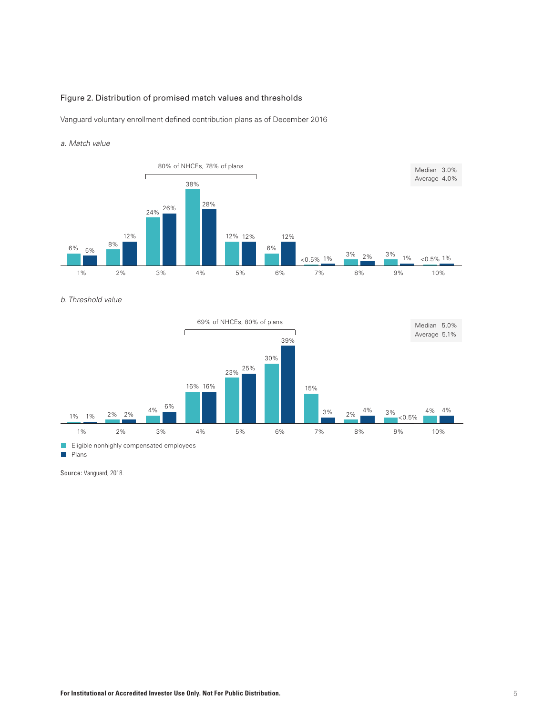# Figure 2. Distribution of promised match values and thresholds

Vanguard voluntary enrollment defined contribution plans as of December 2016

#### *a. Match value*



*b. Threshold value*



Source: Vanguard, 2018.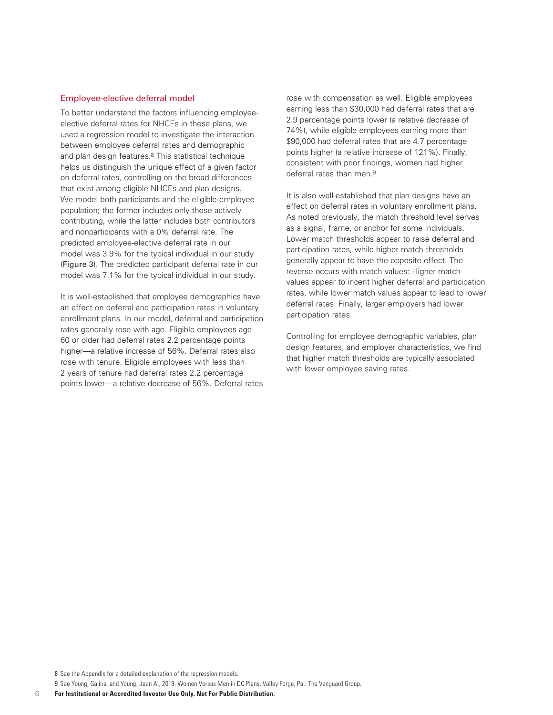#### Employee-elective deferral model

To better understand the factors influencing employeeelective deferral rates for NHCEs in these plans, we used a regression model to investigate the interaction between employee deferral rates and demographic and plan design features.8 This statistical technique helps us distinguish the unique effect of a given factor on deferral rates, controlling on the broad differences that exist among eligible NHCEs and plan designs. We model both participants and the eligible employee population; the former includes only those actively contributing, while the latter includes both contributors and nonparticipants with a 0% deferral rate. The predicted employee-elective deferral rate in our model was 3.9% for the typical individual in our study (Figure 3). The predicted participant deferral rate in our model was 7.1% for the typical individual in our study.

It is well-established that employee demographics have an effect on deferral and participation rates in voluntary enrollment plans. In our model, deferral and participation rates generally rose with age. Eligible employees age 60 or older had deferral rates 2.2 percentage points higher—a relative increase of 56%. Deferral rates also rose with tenure. Eligible employees with less than 2 years of tenure had deferral rates 2.2 percentage points lower—a relative decrease of 56%. Deferral rates

rose with compensation as well. Eligible employees earning less than \$30,000 had deferral rates that are 2.9 percentage points lower (a relative decrease of 74%), while eligible employees earning more than \$90,000 had deferral rates that are 4.7 percentage points higher (a relative increase of 121%). Finally, consistent with prior findings, women had higher deferral rates than men.9

It is also well-established that plan designs have an effect on deferral rates in voluntary enrollment plans. As noted previously, the match threshold level serves as a signal, frame, or anchor for some individuals. Lower match thresholds appear to raise deferral and participation rates, while higher match thresholds generally appear to have the opposite effect. The reverse occurs with match values: Higher match values appear to incent higher deferral and participation rates, while lower match values appear to lead to lower deferral rates. Finally, larger employers had lower participation rates.

Controlling for employee demographic variables, plan design features, and employer characteristics, we find that higher match thresholds are typically associated with lower employee saving rates.

8 See the Appendix for a detailed explanation of the regression models.

6

9 See Young, Galina, and Young, Jean A., 2019. Women Versus Men in DC Plans, Valley Forge, Pa.: The Vanguard Group.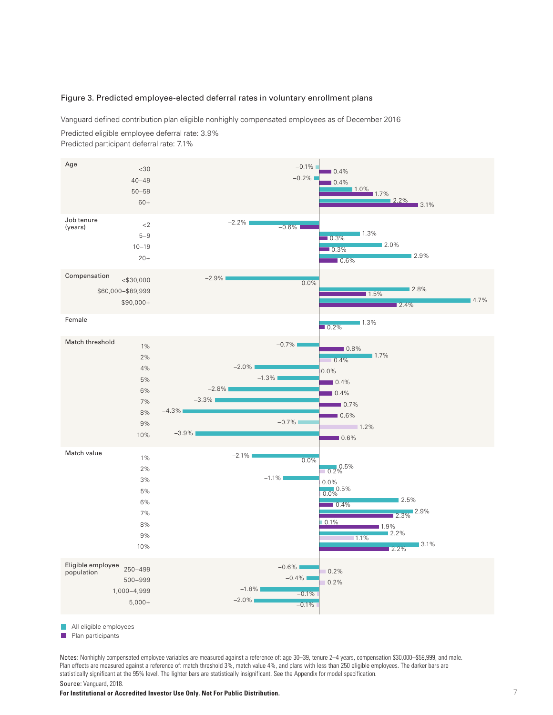#### Figure 3. Predicted employee-elected deferral rates in voluntary enrollment plans

Vanguard defined contribution plan eligible nonhighly compensated employees as of December 2016

Predicted eligible employee deferral rate: 3.9%

Predicted participant deferral rate: 7.1%



All eligible employees

Plan participants

Notes: Nonhighly compensated employee variables are measured against a reference of: age 30–39, tenure 2–4 years, compensation \$30,000–\$59,999, and male. Plan effects are measured against a reference of: match threshold 3%, match value 4%, and plans with less than 250 eligible employees. The darker bars are statistically significant at the 95% level. The lighter bars are statistically insignificant. See the Appendix for model specification. Source: Vanguard, 2018.

**For Institutional or Accredited Investor Use Only. Not For Public Distribution.**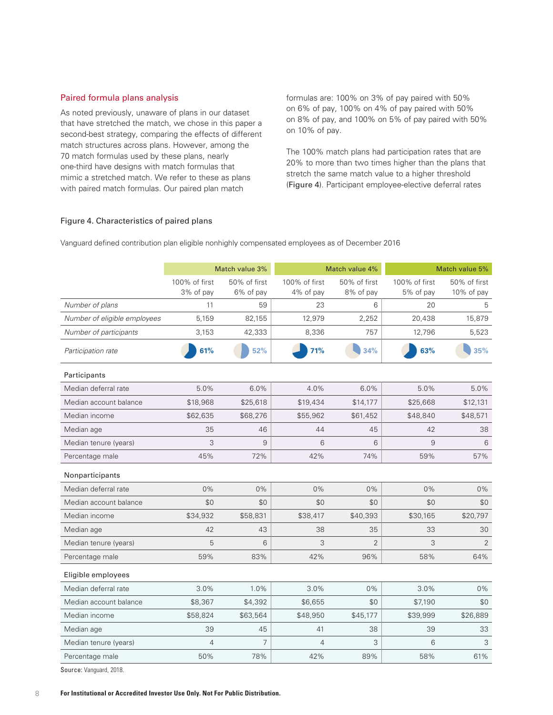# Paired formula plans analysis

As noted previously, unaware of plans in our dataset that have stretched the match, we chose in this paper a second-best strategy, comparing the effects of different match structures across plans. However, among the 70 match formulas used by these plans, nearly one-third have designs with match formulas that mimic a stretched match. We refer to these as plans with paired match formulas. Our paired plan match

formulas are: 100% on 3% of pay paired with 50% on 6% of pay, 100% on 4% of pay paired with 50% on 8% of pay, and 100% on 5% of pay paired with 50% on 10% of pay.

The 100% match plans had participation rates that are 20% to more than two times higher than the plans that stretch the same match value to a higher threshold (Figure 4). Participant employee-elective deferral rates

# Figure 4. Characteristics of paired plans

|                              | Match value 3%             |                           | Match value 4%             |                           | Match value 5%             |                            |  |
|------------------------------|----------------------------|---------------------------|----------------------------|---------------------------|----------------------------|----------------------------|--|
|                              | 100% of first<br>3% of pay | 50% of first<br>6% of pay | 100% of first<br>4% of pay | 50% of first<br>8% of pay | 100% of first<br>5% of pay | 50% of first<br>10% of pay |  |
| Number of plans              | 11                         | 59                        | 23                         | 6                         | 20                         | 5                          |  |
| Number of eligible employees | 5,159                      | 82,155                    | 12,979                     | 2,252                     | 20,438                     | 15,879                     |  |
| Number of participants       | 3,153                      | 42,333                    | 8,336                      | 757                       | 12,796                     | 5,523                      |  |
| Participation rate           | 61%                        | 52%                       | 71%                        | 34%                       | 63%                        | 35%                        |  |
| Participants                 |                            |                           |                            |                           |                            |                            |  |
| Median deferral rate         | 5.0%                       | 6.0%                      | 4.0%                       | 6.0%                      | 5.0%                       | 5.0%                       |  |
| Median account balance       | \$18,968                   | \$25,618                  | \$19,434                   | \$14,177                  | \$25,668                   | \$12,131                   |  |
| Median income                | \$62,635                   | \$68,276                  | \$55,962                   | \$61,452                  | \$48,840                   | \$48,571                   |  |
| Median age                   | 35                         | 46                        | 44                         | 45                        | 42                         | 38                         |  |
| Median tenure (years)        | 3                          | 9                         | 6                          | 6                         | 9                          | 6                          |  |
| Percentage male              | 45%                        | 72%                       | 42%                        | 74%                       | 59%                        | 57%                        |  |
| Nonparticipants              |                            |                           |                            |                           |                            |                            |  |
| Median deferral rate         | 0%                         | $0\%$                     | 0%                         | 0%                        | 0%                         | 0%                         |  |
| Median account balance       | \$0                        | \$0                       | \$0                        | \$0                       | \$0                        | \$0                        |  |
| Median income                | \$34,932                   | \$58,831                  | \$38,417                   | \$40,393                  | \$30,165                   | \$20,797                   |  |
| Median age                   | 42                         | 43                        | 38                         | 35                        | 33                         | 30                         |  |
| Median tenure (years)        | 5                          | 6                         | 3                          | $\overline{2}$            | 3                          | $\overline{2}$             |  |
| Percentage male              | 59%                        | 83%                       | 42%                        | 96%                       | 58%                        | 64%                        |  |
| Eligible employees           |                            |                           |                            |                           |                            |                            |  |
| Median deferral rate         | 3.0%                       | 1.0%                      | 3.0%                       | 0%                        | 3.0%                       | 0%                         |  |
| Median account balance       | \$8,367                    | \$4,392                   | \$6,655                    | \$0                       | \$7,190                    | \$0                        |  |
| Median income                | \$58,824                   | \$63,564                  | \$48,950                   | \$45,177                  | \$39,999                   | \$26,889                   |  |
| Median age                   | 39                         | 45                        | 41                         | 38                        | 39                         | 33                         |  |
| Median tenure (years)        | $\overline{4}$             | 7                         | $\overline{4}$             | 3                         | 6                          | 3                          |  |
| Percentage male              | 50%                        | 78%                       | 42%                        | 89%                       | 58%                        | 61%                        |  |

Vanguard defined contribution plan eligible nonhighly compensated employees as of December 2016

Source: Vanguard, 2018.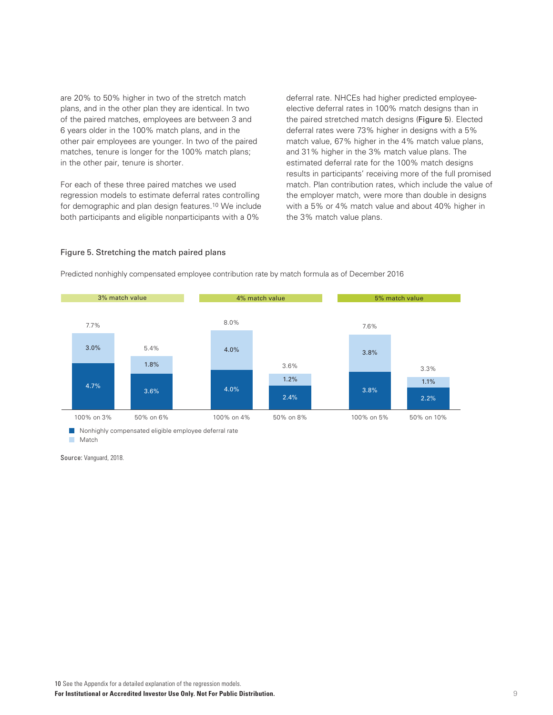are 20% to 50% higher in two of the stretch match plans, and in the other plan they are identical. In two of the paired matches, employees are between 3 and 6 years older in the 100% match plans, and in the other pair employees are younger. In two of the paired matches, tenure is longer for the 100% match plans; in the other pair, tenure is shorter.

For each of these three paired matches we used regression models to estimate deferral rates controlling for demographic and plan design features.10 We include both participants and eligible nonparticipants with a 0%

deferral rate. NHCEs had higher predicted employeeelective deferral rates in 100% match designs than in the paired stretched match designs (Figure 5). Elected deferral rates were 73% higher in designs with a 5% match value, 67% higher in the 4% match value plans, and 31% higher in the 3% match value plans. The estimated deferral rate for the 100% match designs results in participants' receiving more of the full promised match. Plan contribution rates, which include the value of the employer match, were more than double in designs with a 5% or 4% match value and about 40% higher in the 3% match value plans.

#### Figure 5. Stretching the match paired plans



Predicted nonhighly compensated employee contribution rate by match formula as of December 2016

Source: Vanguard, 2018.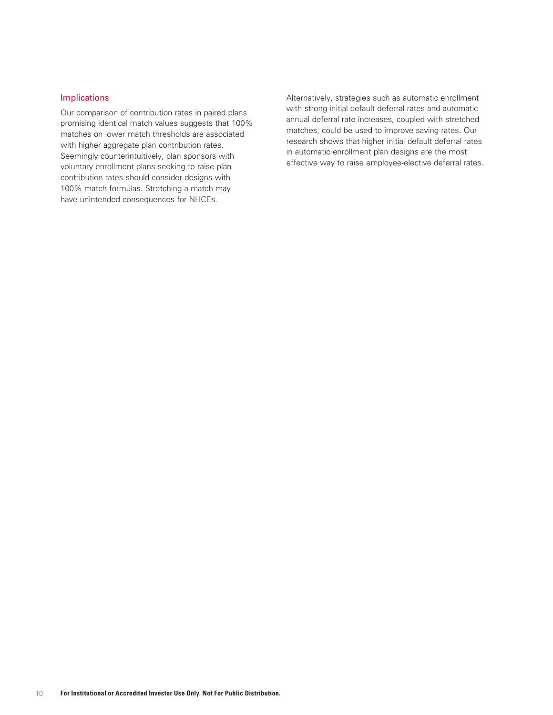# Implications

Our comparison of contribution rates in paired plans promising identical match values suggests that 100% matches on lower match thresholds are associated with higher aggregate plan contribution rates. Seemingly counterintuitively, plan sponsors with voluntary enrollment plans seeking to raise plan contribution rates should consider designs with 100% match formulas. Stretching a match may have unintended consequences for NHCEs.

Alternatively, strategies such as automatic enrollment with strong initial default deferral rates and automatic annual deferral rate increases, coupled with stretched matches, could be used to improve saving rates. Our research shows that higher initial default deferral rates in automatic enrollment plan designs are the most effective way to raise employee-elective deferral rates.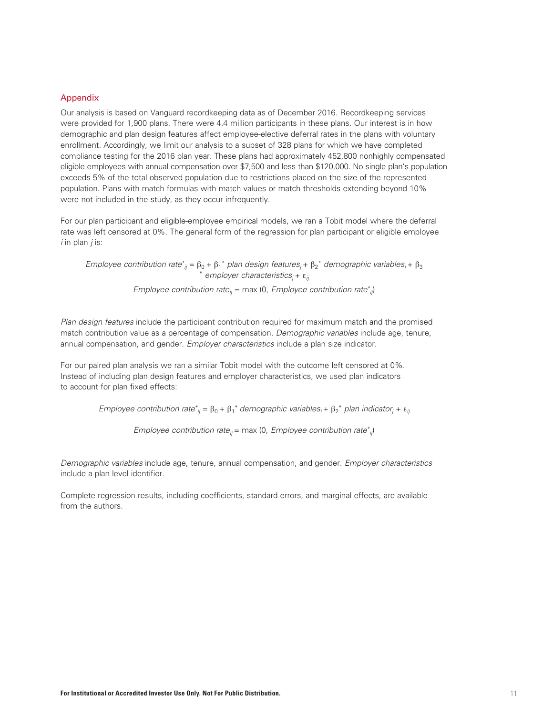# Appendix

Our analysis is based on Vanguard recordkeeping data as of December 2016. Recordkeeping services were provided for 1,900 plans. There were 4.4 million participants in these plans. Our interest is in how demographic and plan design features affect employee-elective deferral rates in the plans with voluntary enrollment. Accordingly, we limit our analysis to a subset of 328 plans for which we have completed compliance testing for the 2016 plan year. These plans had approximately 452,800 nonhighly compensated eligible employees with annual compensation over \$7,500 and less than \$120,000. No single plan's population exceeds 5% of the total observed population due to restrictions placed on the size of the represented population. Plans with match formulas with match values or match thresholds extending beyond 10% were not included in the study, as they occur infrequently.

For our plan participant and eligible-employee empirical models, we ran a Tobit model where the deferral rate was left censored at 0%. The general form of the regression for plan participant or eligible employee *i* in plan *j* is:

*Employee contribution rate*<sup>\*</sup><sub>ij</sub> =  $\beta_0$  +  $\beta_1$ <sup>\*</sup> *plan design features<sub>i</sub>* +  $\beta_2$ <sup>\*</sup> *demographic variables<sub>i</sub>* +  $\beta_3$ \* *employer characteristicsj* + ε*ij*

*Employee contribution rateij* = max (0, *Employee contribution rate\* ij*)

*Plan design features* include the participant contribution required for maximum match and the promised match contribution value as a percentage of compensation. *Demographic variables* include age, tenure, annual compensation, and gender. *Employer characteristics* include a plan size indicator.

For our paired plan analysis we ran a similar Tobit model with the outcome left censored at 0%. Instead of including plan design features and employer characteristics, we used plan indicators to account for plan fixed effects:

*Employee contribution rate*<sup>\*</sup><sub>*ij*</sub> =  $\beta_0$  +  $\beta_1$ <sup>\*</sup> *demographic variables<sub>i</sub>* +  $\beta_2$ <sup>\*</sup> *plan indicator<sub>j</sub>* + ε<sub>*ij*</sub>

*Employee contribution rate<sub>ij</sub>* = max (0, *Employee contribution rate\**<sub>ij</sub>)

*Demographic variables* include age, tenure, annual compensation, and gender. *Employer characteristics* include a plan level identifier.

Complete regression results, including coefficients, standard errors, and marginal effects, are available from the authors.